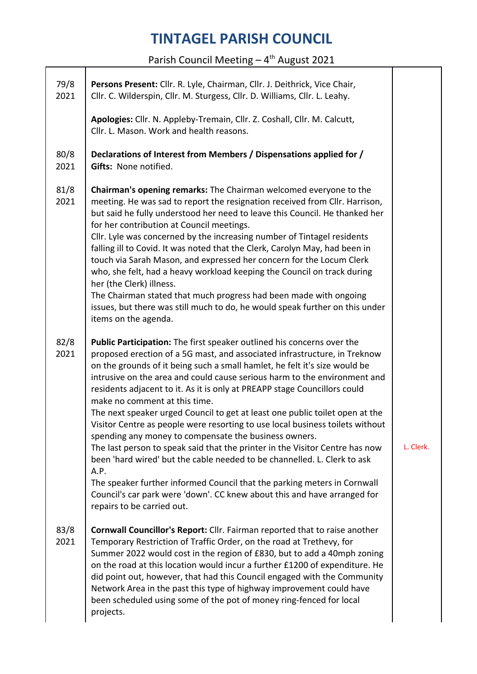Parish Council Meeting  $-4$ <sup>th</sup> August 2021

┱

 $\top$ 

| 79/8<br>2021 | Persons Present: Cllr. R. Lyle, Chairman, Cllr. J. Deithrick, Vice Chair,<br>Cllr. C. Wilderspin, Cllr. M. Sturgess, Cllr. D. Williams, Cllr. L. Leahy.                                                                                                                                                                                                                                                                                                                                                                                                                                                                                                                                                                                                                                                                                                                                                                                                                                                          |           |
|--------------|------------------------------------------------------------------------------------------------------------------------------------------------------------------------------------------------------------------------------------------------------------------------------------------------------------------------------------------------------------------------------------------------------------------------------------------------------------------------------------------------------------------------------------------------------------------------------------------------------------------------------------------------------------------------------------------------------------------------------------------------------------------------------------------------------------------------------------------------------------------------------------------------------------------------------------------------------------------------------------------------------------------|-----------|
|              | Apologies: Cllr. N. Appleby-Tremain, Cllr. Z. Coshall, Cllr. M. Calcutt,<br>Cllr. L. Mason. Work and health reasons.                                                                                                                                                                                                                                                                                                                                                                                                                                                                                                                                                                                                                                                                                                                                                                                                                                                                                             |           |
| 80/8<br>2021 | Declarations of Interest from Members / Dispensations applied for /<br>Gifts: None notified.                                                                                                                                                                                                                                                                                                                                                                                                                                                                                                                                                                                                                                                                                                                                                                                                                                                                                                                     |           |
| 81/8<br>2021 | Chairman's opening remarks: The Chairman welcomed everyone to the<br>meeting. He was sad to report the resignation received from Cllr. Harrison,<br>but said he fully understood her need to leave this Council. He thanked her<br>for her contribution at Council meetings.<br>Cllr. Lyle was concerned by the increasing number of Tintagel residents<br>falling ill to Covid. It was noted that the Clerk, Carolyn May, had been in<br>touch via Sarah Mason, and expressed her concern for the Locum Clerk<br>who, she felt, had a heavy workload keeping the Council on track during<br>her (the Clerk) illness.<br>The Chairman stated that much progress had been made with ongoing<br>issues, but there was still much to do, he would speak further on this under<br>items on the agenda.                                                                                                                                                                                                               |           |
| 82/8<br>2021 | Public Participation: The first speaker outlined his concerns over the<br>proposed erection of a 5G mast, and associated infrastructure, in Treknow<br>on the grounds of it being such a small hamlet, he felt it's size would be<br>intrusive on the area and could cause serious harm to the environment and<br>residents adjacent to it. As it is only at PREAPP stage Councillors could<br>make no comment at this time.<br>The next speaker urged Council to get at least one public toilet open at the<br>Visitor Centre as people were resorting to use local business toilets without<br>spending any money to compensate the business owners.<br>The last person to speak said that the printer in the Visitor Centre has now<br>been 'hard wired' but the cable needed to be channelled. L. Clerk to ask<br>A.P.<br>The speaker further informed Council that the parking meters in Cornwall<br>Council's car park were 'down'. CC knew about this and have arranged for<br>repairs to be carried out. | L. Clerk. |
| 83/8<br>2021 | <b>Cornwall Councillor's Report:</b> Cllr. Fairman reported that to raise another<br>Temporary Restriction of Traffic Order, on the road at Trethevy, for<br>Summer 2022 would cost in the region of £830, but to add a 40mph zoning<br>on the road at this location would incur a further £1200 of expenditure. He<br>did point out, however, that had this Council engaged with the Community<br>Network Area in the past this type of highway improvement could have<br>been scheduled using some of the pot of money ring-fenced for local<br>projects.                                                                                                                                                                                                                                                                                                                                                                                                                                                      |           |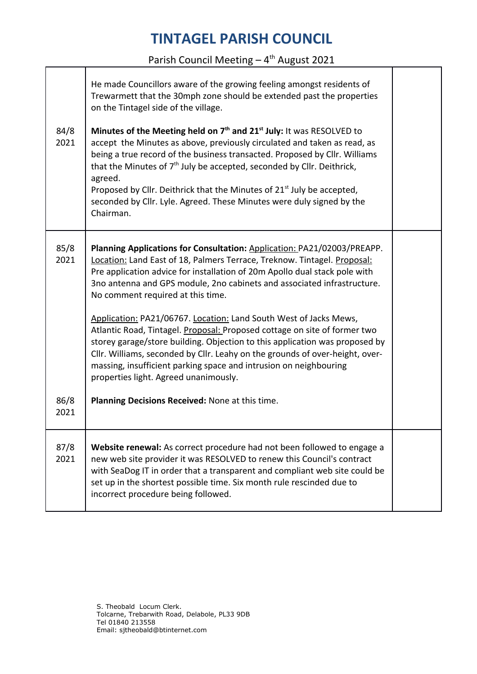#### Parish Council Meeting  $-4$ <sup>th</sup> August 2021

| 84/8<br>2021 | He made Councillors aware of the growing feeling amongst residents of<br>Trewarmett that the 30mph zone should be extended past the properties<br>on the Tintagel side of the village.<br>Minutes of the Meeting held on $7th$ and $21st$ July: It was RESOLVED to<br>accept the Minutes as above, previously circulated and taken as read, as<br>being a true record of the business transacted. Proposed by Cllr. Williams<br>that the Minutes of $7th$ July be accepted, seconded by Cllr. Deithrick,<br>agreed.<br>Proposed by Cllr. Deithrick that the Minutes of $21st$ July be accepted,<br>seconded by Cllr. Lyle. Agreed. These Minutes were duly signed by the<br>Chairman.                                                                                            |  |
|--------------|----------------------------------------------------------------------------------------------------------------------------------------------------------------------------------------------------------------------------------------------------------------------------------------------------------------------------------------------------------------------------------------------------------------------------------------------------------------------------------------------------------------------------------------------------------------------------------------------------------------------------------------------------------------------------------------------------------------------------------------------------------------------------------|--|
| 85/8<br>2021 | Planning Applications for Consultation: Application: PA21/02003/PREAPP.<br>Location: Land East of 18, Palmers Terrace, Treknow. Tintagel. Proposal:<br>Pre application advice for installation of 20m Apollo dual stack pole with<br>3no antenna and GPS module, 2no cabinets and associated infrastructure.<br>No comment required at this time.<br>Application: PA21/06767. Location: Land South West of Jacks Mews,<br>Atlantic Road, Tintagel. Proposal: Proposed cottage on site of former two<br>storey garage/store building. Objection to this application was proposed by<br>Cllr. Williams, seconded by Cllr. Leahy on the grounds of over-height, over-<br>massing, insufficient parking space and intrusion on neighbouring<br>properties light. Agreed unanimously. |  |
| 86/8<br>2021 | Planning Decisions Received: None at this time.                                                                                                                                                                                                                                                                                                                                                                                                                                                                                                                                                                                                                                                                                                                                  |  |
| 87/8<br>2021 | Website renewal: As correct procedure had not been followed to engage a<br>new web site provider it was RESOLVED to renew this Council's contract<br>with SeaDog IT in order that a transparent and compliant web site could be<br>set up in the shortest possible time. Six month rule rescinded due to<br>incorrect procedure being followed.                                                                                                                                                                                                                                                                                                                                                                                                                                  |  |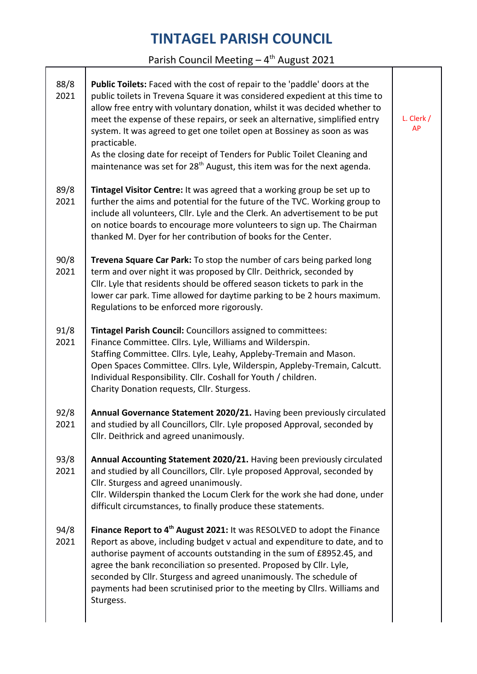Parish Council Meeting  $-4$ <sup>th</sup> August 2021

T

| 88/8<br>2021 | <b>Public Toilets:</b> Faced with the cost of repair to the 'paddle' doors at the<br>public toilets in Trevena Square it was considered expedient at this time to<br>allow free entry with voluntary donation, whilst it was decided whether to<br>meet the expense of these repairs, or seek an alternative, simplified entry<br>system. It was agreed to get one toilet open at Bossiney as soon as was<br>practicable.<br>As the closing date for receipt of Tenders for Public Toilet Cleaning and<br>maintenance was set for 28 <sup>th</sup> August, this item was for the next agenda. | L. Clerk /<br><b>AP</b> |
|--------------|-----------------------------------------------------------------------------------------------------------------------------------------------------------------------------------------------------------------------------------------------------------------------------------------------------------------------------------------------------------------------------------------------------------------------------------------------------------------------------------------------------------------------------------------------------------------------------------------------|-------------------------|
| 89/8<br>2021 | Tintagel Visitor Centre: It was agreed that a working group be set up to<br>further the aims and potential for the future of the TVC. Working group to<br>include all volunteers, Cllr. Lyle and the Clerk. An advertisement to be put<br>on notice boards to encourage more volunteers to sign up. The Chairman<br>thanked M. Dyer for her contribution of books for the Center.                                                                                                                                                                                                             |                         |
| 90/8<br>2021 | Trevena Square Car Park: To stop the number of cars being parked long<br>term and over night it was proposed by Cllr. Deithrick, seconded by<br>Cllr. Lyle that residents should be offered season tickets to park in the<br>lower car park. Time allowed for daytime parking to be 2 hours maximum.<br>Regulations to be enforced more rigorously.                                                                                                                                                                                                                                           |                         |
| 91/8<br>2021 | Tintagel Parish Council: Councillors assigned to committees:<br>Finance Committee. Cllrs. Lyle, Williams and Wilderspin.<br>Staffing Committee. Cllrs. Lyle, Leahy, Appleby-Tremain and Mason.<br>Open Spaces Committee. Cllrs. Lyle, Wilderspin, Appleby-Tremain, Calcutt.<br>Individual Responsibility. Cllr. Coshall for Youth / children.<br>Charity Donation requests, Cllr. Sturgess.                                                                                                                                                                                                   |                         |
| 92/8<br>2021 | Annual Governance Statement 2020/21. Having been previously circulated<br>and studied by all Councillors, Cllr. Lyle proposed Approval, seconded by<br>Cllr. Deithrick and agreed unanimously.                                                                                                                                                                                                                                                                                                                                                                                                |                         |
| 93/8<br>2021 | Annual Accounting Statement 2020/21. Having been previously circulated<br>and studied by all Councillors, Cllr. Lyle proposed Approval, seconded by<br>Cllr. Sturgess and agreed unanimously.<br>Cllr. Wilderspin thanked the Locum Clerk for the work she had done, under<br>difficult circumstances, to finally produce these statements.                                                                                                                                                                                                                                                   |                         |
| 94/8<br>2021 | Finance Report to 4 <sup>th</sup> August 2021: It was RESOLVED to adopt the Finance<br>Report as above, including budget v actual and expenditure to date, and to<br>authorise payment of accounts outstanding in the sum of £8952.45, and<br>agree the bank reconciliation so presented. Proposed by Cllr. Lyle,<br>seconded by Cllr. Sturgess and agreed unanimously. The schedule of<br>payments had been scrutinised prior to the meeting by Cllrs. Williams and<br>Sturgess.                                                                                                             |                         |